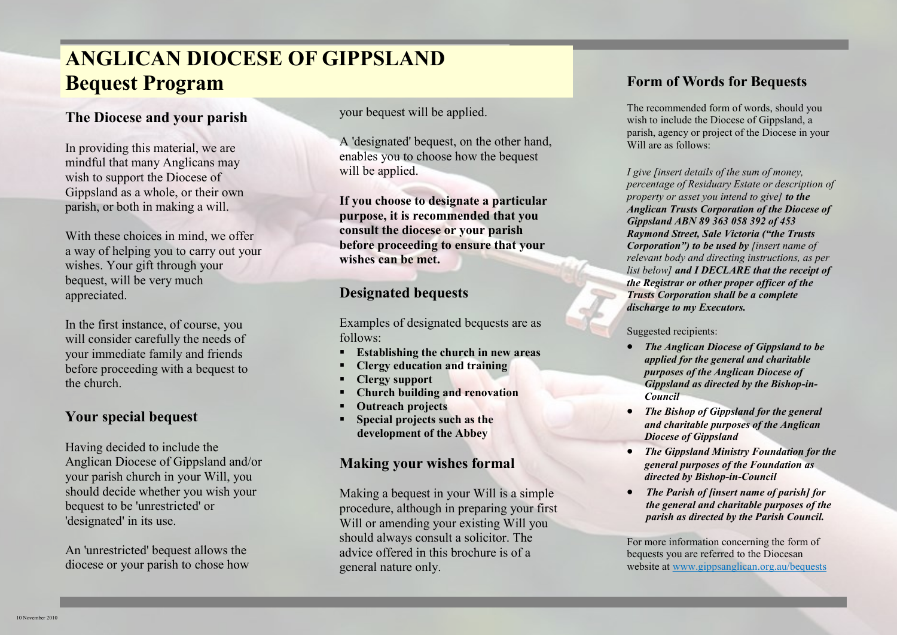### **ANGLICAN DIOCESE OF GIPPSLAND Bequest Program**

#### **The Diocese and your parish**

In providing this material, we are mindful that many Anglicans may wish to support the Diocese of Gippsland as a whole, or their own parish, or both in making a will.

With these choices in mind, we offer a way of helping you to carry out your wishes. Your gift through your bequest, will be very much appreciated.

In the first instance, of course, you will consider carefully the needs of your immediate family and friends before proceeding with a bequest to the church.

#### **Your special bequest**

Having decided to include the Anglican Diocese of Gippsland and/or your parish church in your Will, you should decide whether you wish your bequest to be 'unrestricted' or 'designated' in its use.

An 'unrestricted' bequest allows the diocese or your parish to chose how your bequest will be applied.

A 'designated' bequest, on the other hand, enables you to choose how the bequest will be applied.

**If you choose to designate a particular purpose, it is recommended that you consult the diocese or your parish before proceeding to ensure that your wishes can be met.** 

#### **Designated bequests**

Examples of designated bequests are as follows:

- **Establishing the church in new areas**
- **Clergy education and training**
- **Clergy support**
- **Church building and renovation**
- **Outreach projects**
- **Special projects such as the development of the Abbey**

#### **Making your wishes formal**

Making a bequest in your Will is a simple procedure, although in preparing your first Will or amending your existing Will you should always consult a solicitor. The advice offered in this brochure is of a general nature only.

#### **Form of Words for Bequests**

The recommended form of words, should you wish to include the Diocese of Gippsland, a parish, agency or project of the Diocese in your Will are as follows:

*I give [insert details of the sum of money, percentage of Residuary Estate or description of property or asset you intend to give] to the Anglican Trusts Corporation of the Diocese of Gippsland ABN 89 363 058 392 of 453 Raymond Street, Sale Victoria ("the Trusts Corporation") to be used by [insert name of relevant body and directing instructions, as per list below] and I DECLARE that the receipt of the Registrar or other proper officer of the Trusts Corporation shall be a complete discharge to my Executors.*

Suggested recipients:

- *The Anglican Diocese of Gippsland to be applied for the general and charitable purposes of the Anglican Diocese of Gippsland as directed by the Bishop-in-Council*
- *The Bishop of Gippsland for the general and charitable purposes of the Anglican Diocese of Gippsland*
- *The Gippsland Ministry Foundation for the general purposes of the Foundation as directed by Bishop-in-Council*
- *The Parish of [insert name of parish] for the general and charitable purposes of the parish as directed by the Parish Council.*

For more information concerning the form of bequests you are referred to the Diocesan website at www.gippsanglican.org.au/bequests